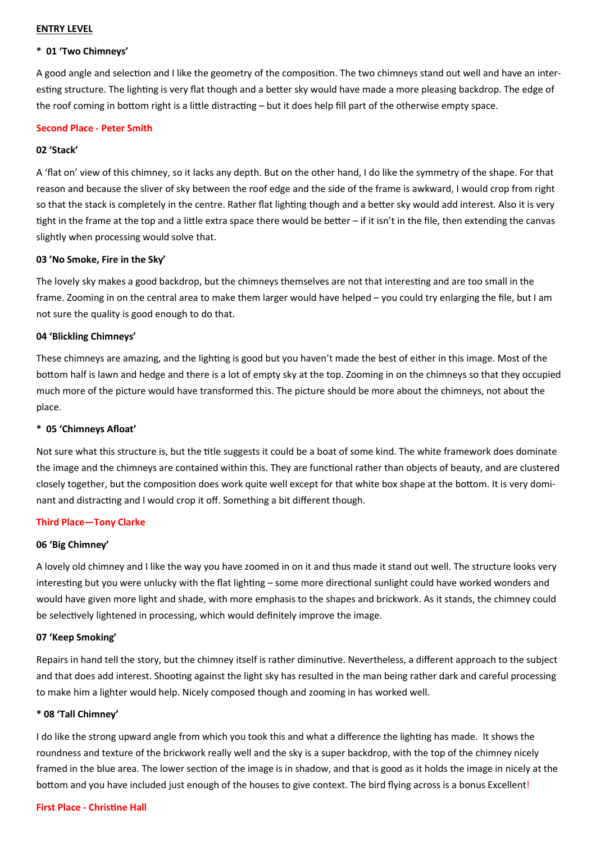# **ENTRY LEVEL**

# **\* 01 'Two Chimneys'**

A good angle and selection and I like the geometry of the composition. The two chimneys stand out well and have an interesting structure. The lighting is very flat though and a better sky would have made a more pleasing backdrop. The edge of the roof coming in bottom right is a little distracting – but it does help fill part of the otherwise empty space.

# **Second Place - Peter Smith**

# **02 'Stack'**

A 'flat on' view of this chimney, so it lacks any depth. But on the other hand, I do like the symmetry of the shape. For that reason and because the sliver of sky between the roof edge and the side of the frame is awkward, I would crop from right so that the stack is completely in the centre. Rather flat lighting though and a better sky would add interest. Also it is very tight in the frame at the top and a little extra space there would be better – if it isn't in the file, then extending the canvas slightly when processing would solve that.

# **03 'No Smoke, Fire in the Sky'**

The lovely sky makes a good backdrop, but the chimneys themselves are not that interesting and are too small in the frame. Zooming in on the central area to make them larger would have helped – you could try enlarging the file, but I am not sure the quality is good enough to do that.

# **04 'Blickling Chimneys'**

These chimneys are amazing, and the lighting is good but you haven't made the best of either in this image. Most of the bottom half is lawn and hedge and there is a lot of empty sky at the top. Zooming in on the chimneys so that they occupied much more of the picture would have transformed this. The picture should be more about the chimneys, not about the place.

# **\* 05 'Chimneys Afloat'**

Not sure what this structure is, but the title suggests it could be a boat of some kind. The white framework does dominate the image and the chimneys are contained within this. They are functional rather than objects of beauty, and are clustered closely together, but the composition does work quite well except for that white box shape at the bottom. It is very dominant and distracting and I would crop it off. Something a bit different though.

### **Third Place—Tony Clarke**

### **06 'Big Chimney'**

A lovely old chimney and I like the way you have zoomed in on it and thus made it stand out well. The structure looks very interesting but you were unlucky with the flat lighting – some more directional sunlight could have worked wonders and would have given more light and shade, with more emphasis to the shapes and brickwork. As it stands, the chimney could be selectively lightened in processing, which would definitely improve the image.

### **07 'Keep Smoking'**

Repairs in hand tell the story, but the chimney itself is rather diminutive. Nevertheless, a different approach to the subject and that does add interest. Shooting against the light sky has resulted in the man being rather dark and careful processing to make him a lighter would help. Nicely composed though and zooming in has worked well.

### **\* 08 'Tall Chimney'**

I do like the strong upward angle from which you took this and what a difference the lighting has made. It shows the roundness and texture of the brickwork really well and the sky is a super backdrop, with the top of the chimney nicely framed in the blue area. The lower section of the image is in shadow, and that is good as it holds the image in nicely at the bottom and you have included just enough of the houses to give context. The bird flying across is a bonus Excellent!

### **First Place - Christine Hall**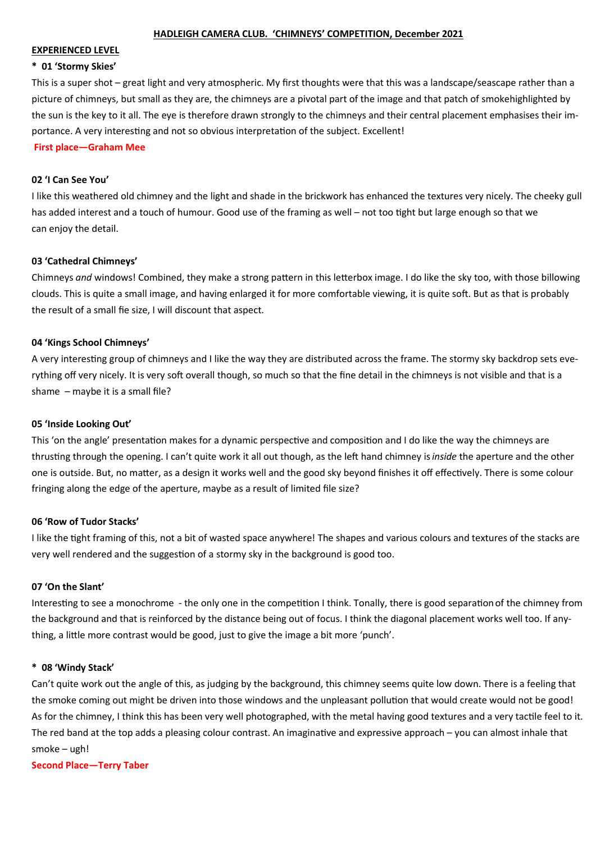#### **HADLEIGH CAMERA CLUB. 'CHIMNEYS' COMPETITION, December 2021**

#### **EXPERIENCED LEVEL**

#### **\* 01 'Stormy Skies'**

This is a super shot – great light and very atmospheric. My first thoughts were that this was a landscape/seascape rather than a picture of chimneys, but small as they are, the chimneys are a pivotal part of the image and that patch of smokehighlighted by the sun is the key to it all. The eye is therefore drawn strongly to the chimneys and their central placement emphasises their importance. A very interesting and not so obvious interpretation of the subject. Excellent!

**First place—Graham Mee**

### **02 'I Can See You'**

I like this weathered old chimney and the light and shade in the brickwork has enhanced the textures very nicely. The cheeky gull has added interest and a touch of humour. Good use of the framing as well – not too tight but large enough so that we can enjoy the detail.

### **03 'Cathedral Chimneys'**

Chimneys *and* windows! Combined, they make a strong pattern in this letterbox image. I do like the sky too, with those billowing clouds. This is quite a small image, and having enlarged it for more comfortable viewing, it is quite soft. But as that is probably the result of a small fie size, I will discount that aspect.

#### **04 'Kings School Chimneys'**

A very interesting group of chimneys and I like the way they are distributed across the frame. The stormy sky backdrop sets everything off very nicely. It is very soft overall though, so much so that the fine detail in the chimneys is not visible and that is a shame – maybe it is a small file?

#### **05 'Inside Looking Out'**

This 'on the angle' presentation makes for a dynamic perspective and composition and I do like the way the chimneys are thrusting through the opening. I can't quite work it all out though, as the left hand chimney is*inside* the aperture and the other one is outside. But, no matter, as a design it works well and the good sky beyond finishes it off effectively. There is some colour fringing along the edge of the aperture, maybe as a result of limited file size?

### **06 'Row of Tudor Stacks'**

I like the tight framing of this, not a bit of wasted space anywhere! The shapes and various colours and textures of the stacks are very well rendered and the suggestion of a stormy sky in the background is good too.

#### **07 'On the Slant'**

Interesting to see a monochrome - the only one in the competition I think. Tonally, there is good separationof the chimney from the background and that is reinforced by the distance being out of focus. I think the diagonal placement works well too. If anything, a little more contrast would be good, just to give the image a bit more 'punch'.

#### **\* 08 'Windy Stack'**

Can't quite work out the angle of this, as judging by the background, this chimney seems quite low down. There is a feeling that the smoke coming out might be driven into those windows and the unpleasant pollution that would create would not be good! As for the chimney, I think this has been very well photographed, with the metal having good textures and a very tactile feel to it. The red band at the top adds a pleasing colour contrast. An imaginative and expressive approach – you can almost inhale that smoke – ugh!

**Second Place—Terry Taber**